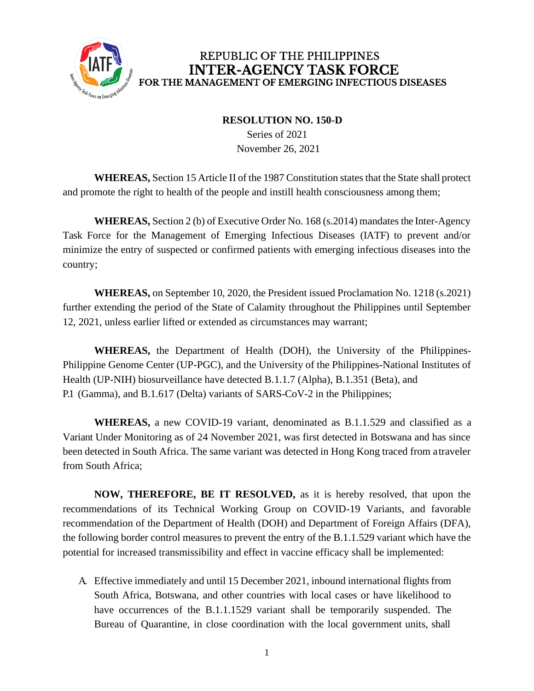

## REPUBLIC OF THE PHILIPPINES **INTER-AGENCY TASK FORCE** FOR THE MANAGEMENT OF EMERGING INFECTIOUS DISEASES

## **RESOLUTION NO. 150-D**

Series of 2021 November 26, 2021

**WHEREAS,** Section 15 Article II of the 1987 Constitution states that the State shall protect and promote the right to health of the people and instill health consciousness among them;

**WHEREAS,** Section 2 (b) of Executive Order No. 168 (s.2014) mandates the Inter-Agency Task Force for the Management of Emerging Infectious Diseases (IATF) to prevent and/or minimize the entry of suspected or confirmed patients with emerging infectious diseases into the country;

**WHEREAS,** on September 10, 2020, the President issued Proclamation No. 1218 (s.2021) further extending the period of the State of Calamity throughout the Philippines until September 12, 2021, unless earlier lifted or extended as circumstances may warrant;

**WHEREAS,** the Department of Health (DOH), the University of the Philippines-Philippine Genome Center (UP-PGC), and the University of the Philippines-National Institutes of Health (UP-NIH) biosurveillance have detected B.1.1.7 (Alpha), B.1.351 (Beta), and P.1 (Gamma), and B.1.617 (Delta) variants of SARS-CoV-2 in the Philippines;

**WHEREAS,** a new COVID-19 variant, denominated as B.1.1.529 and classified as a Variant Under Monitoring as of 24 November 2021, was first detected in Botswana and has since been detected in South Africa. The same variant was detected in Hong Kong traced from a traveler from South Africa;

**NOW, THEREFORE, BE IT RESOLVED,** as it is hereby resolved, that upon the recommendations of its Technical Working Group on COVID-19 Variants, and favorable recommendation of the Department of Health (DOH) and Department of Foreign Affairs (DFA), the following border control measures to prevent the entry of the B.1.1.529 variant which have the potential for increased transmissibility and effect in vaccine efficacy shall be implemented:

A. Effective immediately and until 15 December 2021, inbound international flights from South Africa, Botswana, and other countries with local cases or have likelihood to have occurrences of the B.1.1.1529 variant shall be temporarily suspended. The Bureau of Quarantine, in close coordination with the local government units, shall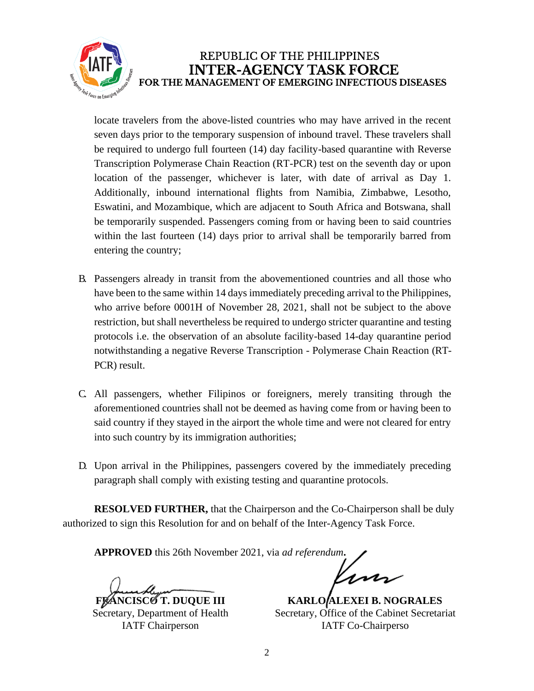

## REPUBLIC OF THE PHILIPPINES **INTER-AGENCY TASK FORCE** FOR THE MANAGEMENT OF EMERGING INFECTIOUS DISEASES

locate travelers from the above-listed countries who may have arrived in the recent seven days prior to the temporary suspension of inbound travel. These travelers shall be required to undergo full fourteen (14) day facility-based quarantine with Reverse Transcription Polymerase Chain Reaction (RT-PCR) test on the seventh day or upon location of the passenger, whichever is later, with date of arrival as Day 1. Additionally, inbound international flights from Namibia, Zimbabwe, Lesotho, Eswatini, and Mozambique, which are adjacent to South Africa and Botswana, shall be temporarily suspended. Passengers coming from or having been to said countries within the last fourteen (14) days prior to arrival shall be temporarily barred from entering the country;

- B. Passengers already in transit from the abovementioned countries and all those who have been to the same within 14 days immediately preceding arrival to the Philippines, who arrive before 0001H of November 28, 2021, shall not be subject to the above restriction, but shall nevertheless be required to undergo stricter quarantine and testing protocols i.e. the observation of an absolute facility-based 14-day quarantine period notwithstanding a negative Reverse Transcription - Polymerase Chain Reaction (RT-PCR) result.
- C. All passengers, whether Filipinos or foreigners, merely transiting through the aforementioned countries shall not be deemed as having come from or having been to said country if they stayed in the airport the whole time and were not cleared for entry into such country by its immigration authorities;
- D. Upon arrival in the Philippines, passengers covered by the immediately preceding paragraph shall comply with existing testing and quarantine protocols.

**RESOLVED FURTHER,** that the Chairperson and the Co-Chairperson shall be duly authorized to sign this Resolution for and on behalf of the Inter-Agency Task Force.

**APPROVED** this 26th November 2021, via *ad referendum***.**

*NCISCO T. DUQUE III* Secretary, Department of Health IATF Chairperson

lin

**KARLO ALEXEI B. NOGRALES** Secretary, Office of the Cabinet Secretariat IATF Co-Chairperso